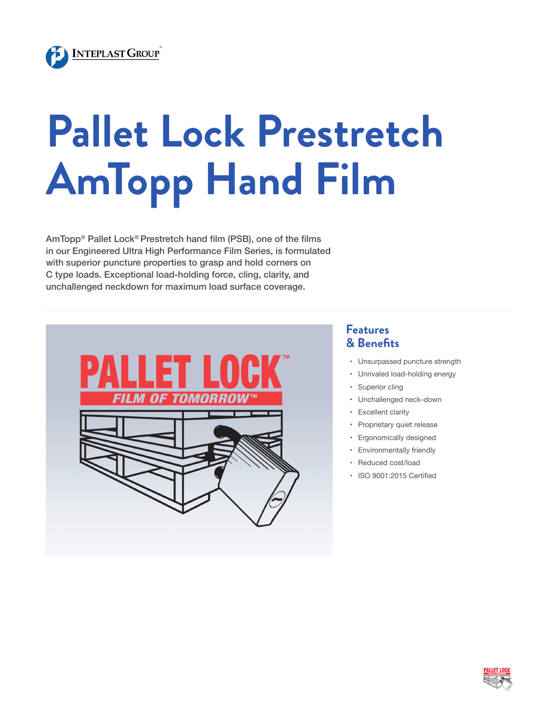

## **Pallet Lock Prestretch AmTopp Hand Film**

AmTopp® Pallet Lock® Prestretch hand film (PSB), one of the films in our Engineered Ultra High Performance Film Series, is formulated with superior puncture properties to grasp and hold corners on C type loads. Exceptional load-holding force, cling, clarity, and unchallenged neckdown for maximum load surface coverage.



## **Features & Benefits**

- • Unsurpassed puncture strength
- • Unrivaled load-holding energy
- • Superior cling
- • Unchallenged neck-down
- • Excellent clarity
- • Proprietary quiet release
- • Ergonomically designed
- • Environmentally friendly
- • Reduced cost/load
- • ISO 9001:2015 Certified